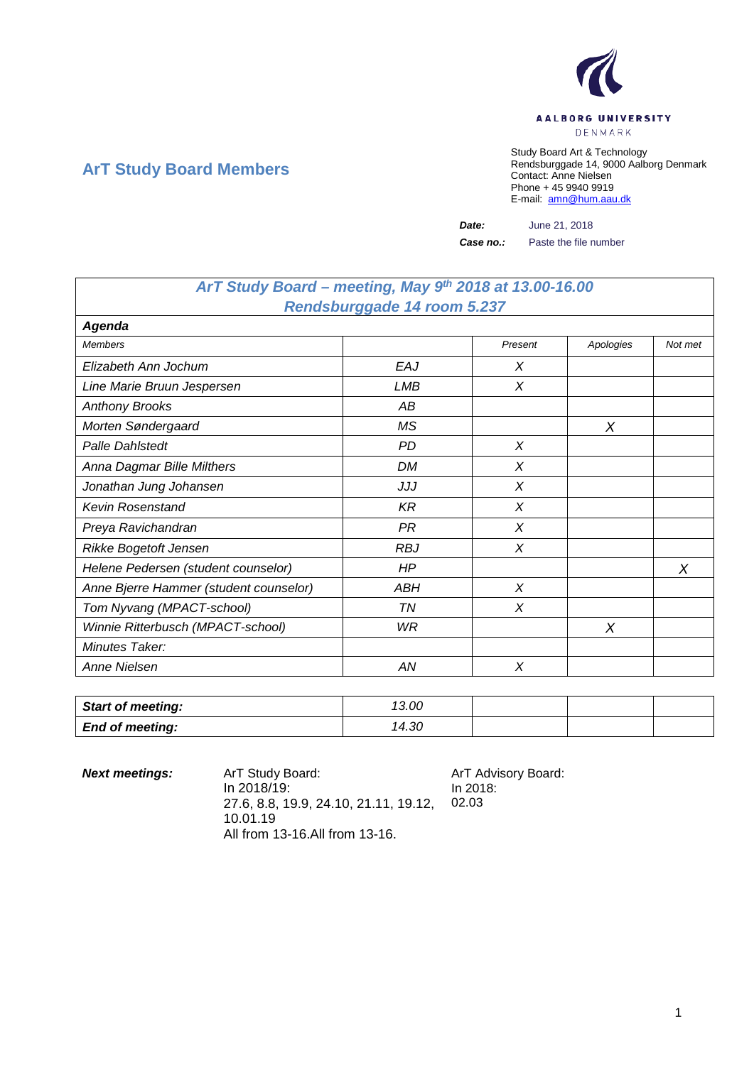

## **ArT Study Board Members**

Study Board Art & Technology Rendsburggade 14, 9000 Aalborg Denmark Contact: Anne Nielsen Phone + 45 9940 9919 E-mail: [amn@hum.aau.dk](mailto:amn@hum.aau.dk)

*Date:* June 21, 2018

*Case no.:* Paste the file number

## *ArT Study Board – meeting, May 9th 2018 at 13.00-16.00 Rendsburggade 14 room 5.237*

| Agenda                                 |            |         |           |         |
|----------------------------------------|------------|---------|-----------|---------|
| <b>Members</b>                         |            | Present | Apologies | Not met |
| Elizabeth Ann Jochum                   | EAJ        | X       |           |         |
| Line Marie Bruun Jespersen             | LMB        | X       |           |         |
| <b>Anthony Brooks</b>                  | АB         |         |           |         |
| Morten Søndergaard                     | <b>MS</b>  |         | X         |         |
| Palle Dahlstedt                        | <b>PD</b>  | X       |           |         |
| Anna Dagmar Bille Milthers             | DM         | X       |           |         |
| Jonathan Jung Johansen                 | JJJ        | X       |           |         |
| <b>Kevin Rosenstand</b>                | K R        | X       |           |         |
| Preya Ravichandran                     | PR         | X       |           |         |
| Rikke Bogetoft Jensen                  | <b>RBJ</b> | X       |           |         |
| Helene Pedersen (student counselor)    | HP         |         |           | X       |
| Anne Bjerre Hammer (student counselor) | ABH        | X       |           |         |
| Tom Nyvang (MPACT-school)              | TN         | X       |           |         |
| Winnie Ritterbusch (MPACT-school)      | WR         |         | Χ         |         |
| Minutes Taker:                         |            |         |           |         |
| Anne Nielsen                           | ΑN         | X       |           |         |

| <b>Start of meeting:</b> | 13.00 |  |  |
|--------------------------|-------|--|--|
| <b>End of meeting:</b>   | 14.30 |  |  |

| <b>Next meetings:</b> | ArT Study Board:<br>In 2018/19:<br>27.6. 8.8. 19.9. 24.10. 21.11. 19.12.<br>10.01.19 | ArT Advisory Board:<br>In 2018:<br>02.03 |
|-----------------------|--------------------------------------------------------------------------------------|------------------------------------------|
|                       | All from 13-16. All from 13-16.                                                      |                                          |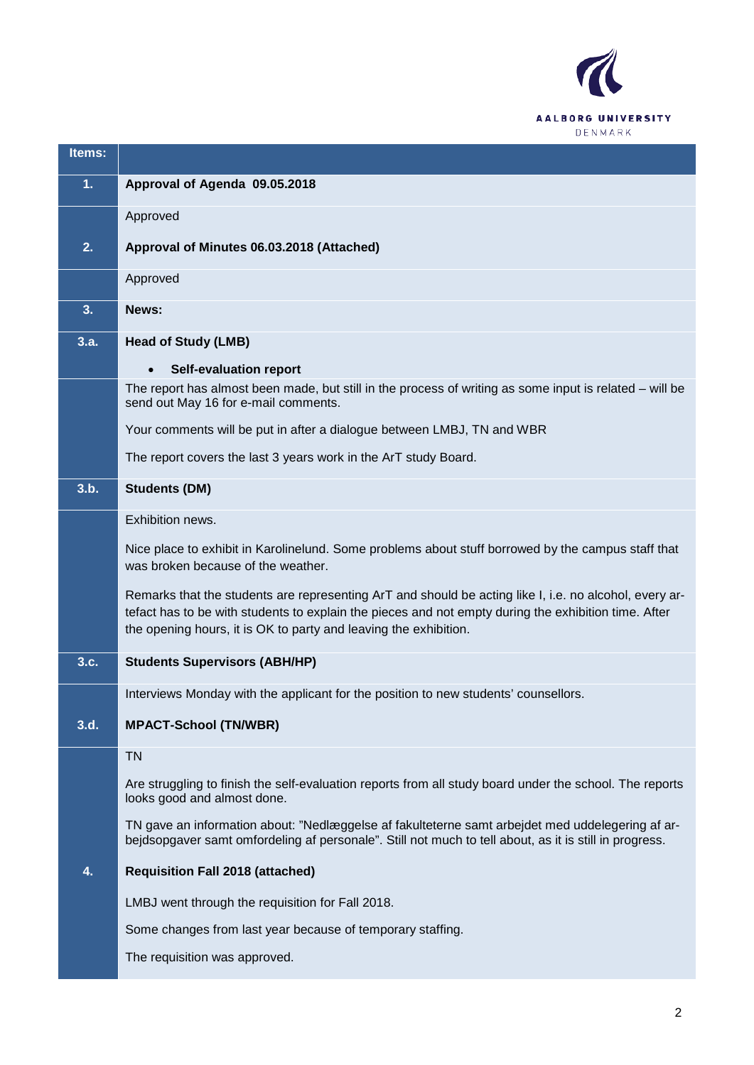

| Items: |                                                                                                                                                                                                                                                                                    |
|--------|------------------------------------------------------------------------------------------------------------------------------------------------------------------------------------------------------------------------------------------------------------------------------------|
| 1.     | Approval of Agenda 09.05.2018                                                                                                                                                                                                                                                      |
|        | Approved                                                                                                                                                                                                                                                                           |
| 2.     | Approval of Minutes 06.03.2018 (Attached)                                                                                                                                                                                                                                          |
|        | Approved                                                                                                                                                                                                                                                                           |
| 3.     | News:                                                                                                                                                                                                                                                                              |
| 3.a.   | <b>Head of Study (LMB)</b>                                                                                                                                                                                                                                                         |
|        | <b>Self-evaluation report</b>                                                                                                                                                                                                                                                      |
|        | The report has almost been made, but still in the process of writing as some input is related – will be<br>send out May 16 for e-mail comments.                                                                                                                                    |
|        | Your comments will be put in after a dialogue between LMBJ, TN and WBR                                                                                                                                                                                                             |
|        | The report covers the last 3 years work in the ArT study Board.                                                                                                                                                                                                                    |
| 3.b.   | <b>Students (DM)</b>                                                                                                                                                                                                                                                               |
|        | Exhibition news.                                                                                                                                                                                                                                                                   |
|        | Nice place to exhibit in Karolinelund. Some problems about stuff borrowed by the campus staff that<br>was broken because of the weather.                                                                                                                                           |
|        | Remarks that the students are representing ArT and should be acting like I, i.e. no alcohol, every ar-<br>tefact has to be with students to explain the pieces and not empty during the exhibition time. After<br>the opening hours, it is OK to party and leaving the exhibition. |
| 3.c.   | <b>Students Supervisors (ABH/HP)</b>                                                                                                                                                                                                                                               |
|        | Interviews Monday with the applicant for the position to new students' counsellors.                                                                                                                                                                                                |
| 3.d.   | <b>MPACT-School (TN/WBR)</b>                                                                                                                                                                                                                                                       |
|        | <b>TN</b>                                                                                                                                                                                                                                                                          |
|        | Are struggling to finish the self-evaluation reports from all study board under the school. The reports<br>looks good and almost done.                                                                                                                                             |
|        | TN gave an information about: "Nedlæggelse af fakulteterne samt arbejdet med uddelegering af ar-<br>bejdsopgaver samt omfordeling af personale". Still not much to tell about, as it is still in progress.                                                                         |
| 4.     | <b>Requisition Fall 2018 (attached)</b>                                                                                                                                                                                                                                            |
|        | LMBJ went through the requisition for Fall 2018.                                                                                                                                                                                                                                   |
|        | Some changes from last year because of temporary staffing.                                                                                                                                                                                                                         |
|        | The requisition was approved.                                                                                                                                                                                                                                                      |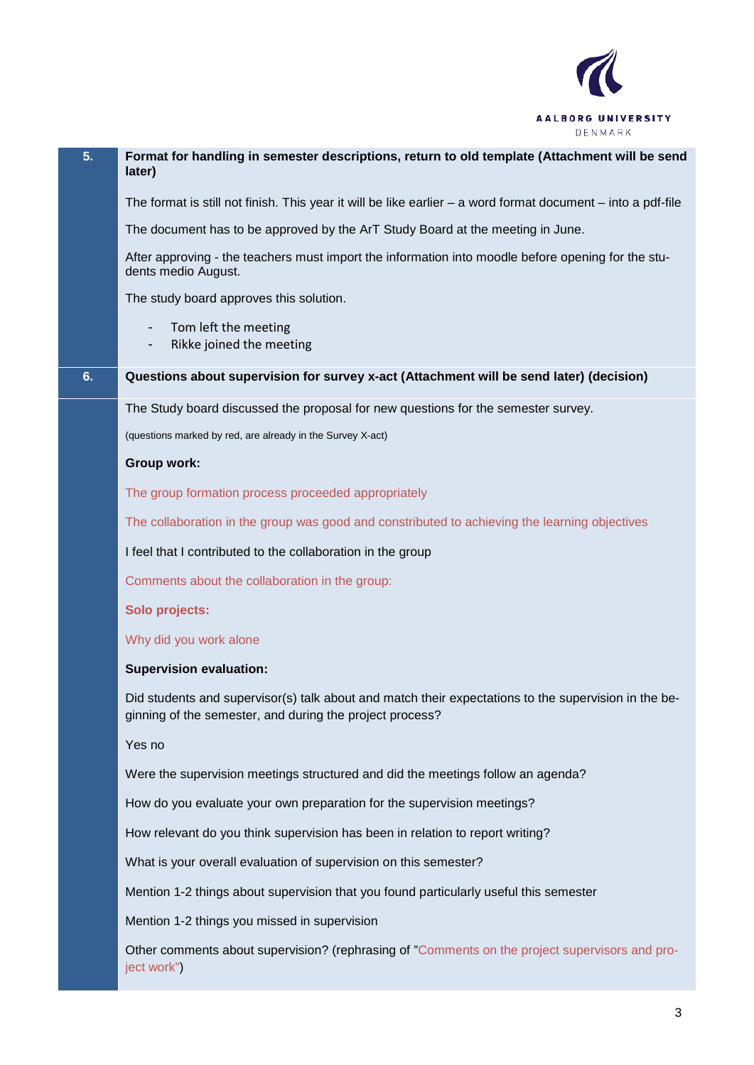

| 5. | Format for handling in semester descriptions, return to old template (Attachment will be send<br>later)                                                          |
|----|------------------------------------------------------------------------------------------------------------------------------------------------------------------|
|    | The format is still not finish. This year it will be like earlier $-$ a word format document $-$ into a pdf-file                                                 |
|    | The document has to be approved by the ArT Study Board at the meeting in June.                                                                                   |
|    | After approving - the teachers must import the information into moodle before opening for the stu-<br>dents medio August.                                        |
|    | The study board approves this solution.                                                                                                                          |
|    | Tom left the meeting<br>Rikke joined the meeting                                                                                                                 |
| 6. | Questions about supervision for survey x-act (Attachment will be send later) (decision)                                                                          |
|    | The Study board discussed the proposal for new questions for the semester survey.                                                                                |
|    | (questions marked by red, are already in the Survey X-act)                                                                                                       |
|    | Group work:                                                                                                                                                      |
|    | The group formation process proceeded appropriately                                                                                                              |
|    | The collaboration in the group was good and constributed to achieving the learning objectives                                                                    |
|    | I feel that I contributed to the collaboration in the group                                                                                                      |
|    | Comments about the collaboration in the group:                                                                                                                   |
|    | Solo projects:                                                                                                                                                   |
|    | Why did you work alone                                                                                                                                           |
|    | <b>Supervision evaluation:</b>                                                                                                                                   |
|    | Did students and supervisor(s) talk about and match their expectations to the supervision in the be-<br>ginning of the semester, and during the project process? |
|    | Yes no                                                                                                                                                           |
|    | Were the supervision meetings structured and did the meetings follow an agenda?                                                                                  |
|    | How do you evaluate your own preparation for the supervision meetings?                                                                                           |
|    | How relevant do you think supervision has been in relation to report writing?                                                                                    |
|    | What is your overall evaluation of supervision on this semester?                                                                                                 |
|    | Mention 1-2 things about supervision that you found particularly useful this semester                                                                            |
|    | Mention 1-2 things you missed in supervision                                                                                                                     |
|    | Other comments about supervision? (rephrasing of "Comments on the project supervisors and pro-<br>ject work")                                                    |